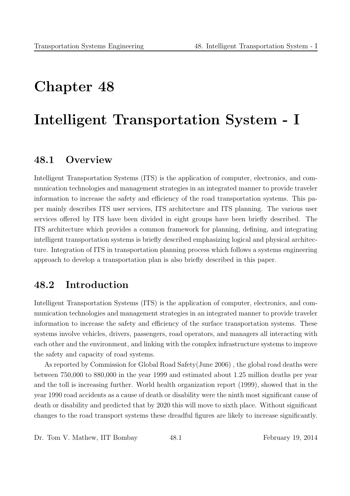# Chapter 48

# Intelligent Transportation System - I

# 48.1 Overview

Intelligent Transportation Systems (ITS) is the application of computer, electronics, and communication technologies and management strategies in an integrated manner to provide traveler information to increase the safety and efficiency of the road transportation systems. This paper mainly describes ITS user services, ITS architecture and ITS planning. The various user services offered by ITS have been divided in eight groups have been briefly described. The ITS architecture which provides a common framework for planning, defining, and integrating intelligent transportation systems is briefly described emphasizing logical and physical architecture. Integration of ITS in transportation planning process which follows a systems engineering approach to develop a transportation plan is also briefly described in this paper.

# 48.2 Introduction

Intelligent Transportation Systems (ITS) is the application of computer, electronics, and communication technologies and management strategies in an integrated manner to provide traveler information to increase the safety and efficiency of the surface transportation systems. These systems involve vehicles, drivers, passengers, road operators, and managers all interacting with each other and the environment, and linking with the complex infrastructure systems to improve the safety and capacity of road systems.

As reported by Commission for Global Road Safety(June 2006) , the global road deaths were between 750,000 to 880,000 in the year 1999 and estimated about 1.25 million deaths per year and the toll is increasing further. World health organization report (1999), showed that in the year 1990 road accidents as a cause of death or disability were the ninth most significant cause of death or disability and predicted that by 2020 this will move to sixth place. Without significant changes to the road transport systems these dreadful figures are likely to increase significantly.

Dr. Tom V. Mathew, IIT Bombay 48.1 February 19, 2014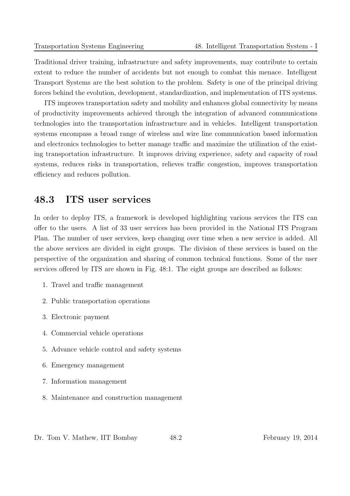Traditional driver training, infrastructure and safety improvements, may contribute to certain extent to reduce the number of accidents but not enough to combat this menace. Intelligent Transport Systems are the best solution to the problem. Safety is one of the principal driving forces behind the evolution, development, standardization, and implementation of ITS systems.

ITS improves transportation safety and mobility and enhances global connectivity by means of productivity improvements achieved through the integration of advanced communications technologies into the transportation infrastructure and in vehicles. Intelligent transportation systems encompass a broad range of wireless and wire line communication based information and electronics technologies to better manage traffic and maximize the utilization of the existing transportation infrastructure. It improves driving experience, safety and capacity of road systems, reduces risks in transportation, relieves traffic congestion, improves transportation efficiency and reduces pollution.

# 48.3 ITS user services

In order to deploy ITS, a framework is developed highlighting various services the ITS can offer to the users. A list of 33 user services has been provided in the National ITS Program Plan. The number of user services, keep changing over time when a new service is added. All the above services are divided in eight groups. The division of these services is based on the perspective of the organization and sharing of common technical functions. Some of the user services offered by ITS are shown in Fig. 48:1. The eight groups are described as follows:

- 1. Travel and traffic management
- 2. Public transportation operations
- 3. Electronic payment
- 4. Commercial vehicle operations
- 5. Advance vehicle control and safety systems
- 6. Emergency management
- 7. Information management
- 8. Maintenance and construction management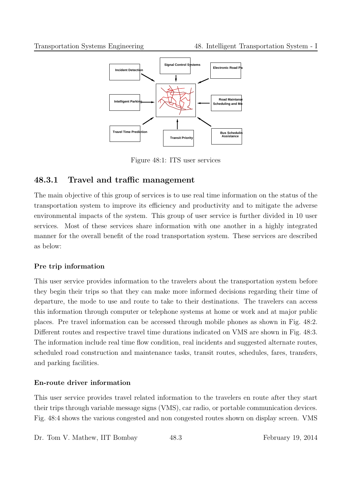

Figure 48:1: ITS user services

### 48.3.1 Travel and traffic management

The main objective of this group of services is to use real time information on the status of the transportation system to improve its efficiency and productivity and to mitigate the adverse environmental impacts of the system. This group of user service is further divided in 10 user services. Most of these services share information with one another in a highly integrated manner for the overall benefit of the road transportation system. These services are described as below:

#### Pre trip information

This user service provides information to the travelers about the transportation system before they begin their trips so that they can make more informed decisions regarding their time of departure, the mode to use and route to take to their destinations. The travelers can access this information through computer or telephone systems at home or work and at major public places. Pre travel information can be accessed through mobile phones as shown in Fig. 48:2. Different routes and respective travel time durations indicated on VMS are shown in Fig. 48:3. The information include real time flow condition, real incidents and suggested alternate routes, scheduled road construction and maintenance tasks, transit routes, schedules, fares, transfers, and parking facilities.

#### En-route driver information

This user service provides travel related information to the travelers en route after they start their trips through variable message signs (VMS), car radio, or portable communication devices. Fig. 48:4 shows the various congested and non congested routes shown on display screen. VMS

Dr. Tom V. Mathew, IIT Bombay 48.3 February 19, 2014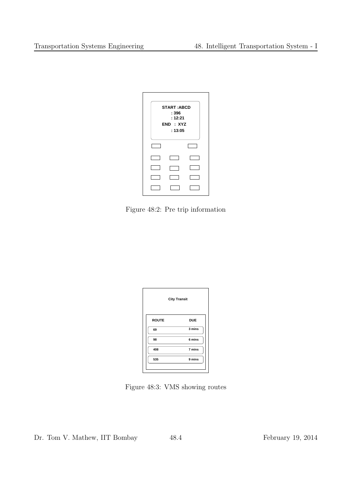| <b>START:ABCD</b><br>: 396<br>: 12:21<br>END: XYZ<br>: 13:05 |  |  |  |  |  |
|--------------------------------------------------------------|--|--|--|--|--|
|                                                              |  |  |  |  |  |
|                                                              |  |  |  |  |  |
|                                                              |  |  |  |  |  |
|                                                              |  |  |  |  |  |
|                                                              |  |  |  |  |  |

Figure 48:2: Pre trip information

| <b>City Transit</b> |            |  |
|---------------------|------------|--|
| <b>ROUTE</b>        | <b>DUE</b> |  |
| 69                  | 3 mins     |  |
| 98                  | 6 mins     |  |
| 408                 | 7 mins     |  |
| 535                 | 9 mins     |  |

Figure 48:3: VMS showing routes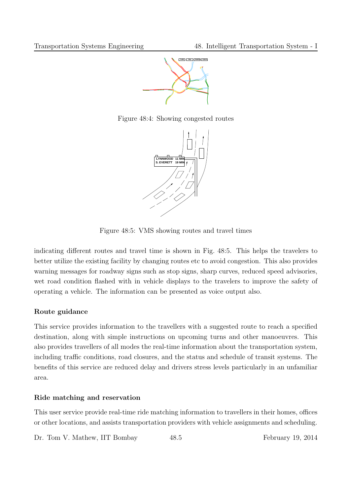

Figure 48:4: Showing congested routes



Figure 48:5: VMS showing routes and travel times

indicating different routes and travel time is shown in Fig. 48:5. This helps the travelers to better utilize the existing facility by changing routes etc to avoid congestion. This also provides warning messages for roadway signs such as stop signs, sharp curves, reduced speed advisories, wet road condition flashed with in vehicle displays to the travelers to improve the safety of operating a vehicle. The information can be presented as voice output also.

#### Route guidance

This service provides information to the travellers with a suggested route to reach a specified destination, along with simple instructions on upcoming turns and other manoeuvres. This also provides travellers of all modes the real-time information about the transportation system, including traffic conditions, road closures, and the status and schedule of transit systems. The benefits of this service are reduced delay and drivers stress levels particularly in an unfamiliar area.

#### Ride matching and reservation

This user service provide real-time ride matching information to travellers in their homes, offices or other locations, and assists transportation providers with vehicle assignments and scheduling.

Dr. Tom V. Mathew, IIT Bombay 48.5 February 19, 2014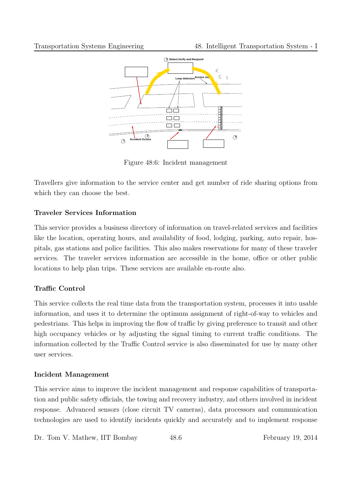

Figure 48:6: Incident management

Travellers give information to the service center and get number of ride sharing options from which they can choose the best.

#### Traveler Services Information

This service provides a business directory of information on travel-related services and facilities like the location, operating hours, and availability of food, lodging, parking, auto repair, hospitals, gas stations and police facilities. This also makes reservations for many of these traveler services. The traveler services information are accessible in the home, office or other public locations to help plan trips. These services are available en-route also.

#### Traffic Control

This service collects the real time data from the transportation system, processes it into usable information, and uses it to determine the optimum assignment of right-of-way to vehicles and pedestrians. This helps in improving the flow of traffic by giving preference to transit and other high occupancy vehicles or by adjusting the signal timing to current traffic conditions. The information collected by the Traffic Control service is also disseminated for use by many other user services.

#### Incident Management

This service aims to improve the incident management and response capabilities of transportation and public safety officials, the towing and recovery industry, and others involved in incident response. Advanced sensors (close circuit TV cameras), data processors and communication technologies are used to identify incidents quickly and accurately and to implement response

Dr. Tom V. Mathew, IIT Bombay 48.6 February 19, 2014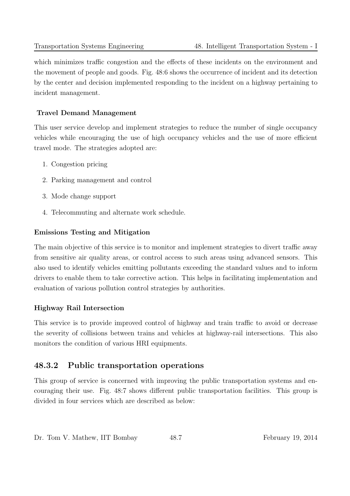which minimizes traffic congestion and the effects of these incidents on the environment and the movement of people and goods. Fig. 48:6 shows the occurrence of incident and its detection by the center and decision implemented responding to the incident on a highway pertaining to incident management.

#### Travel Demand Management

This user service develop and implement strategies to reduce the number of single occupancy vehicles while encouraging the use of high occupancy vehicles and the use of more efficient travel mode. The strategies adopted are:

- 1. Congestion pricing
- 2. Parking management and control
- 3. Mode change support
- 4. Telecommuting and alternate work schedule.

#### Emissions Testing and Mitigation

The main objective of this service is to monitor and implement strategies to divert traffic away from sensitive air quality areas, or control access to such areas using advanced sensors. This also used to identify vehicles emitting pollutants exceeding the standard values and to inform drivers to enable them to take corrective action. This helps in facilitating implementation and evaluation of various pollution control strategies by authorities.

#### Highway Rail Intersection

This service is to provide improved control of highway and train traffic to avoid or decrease the severity of collisions between trains and vehicles at highway-rail intersections. This also monitors the condition of various HRI equipments.

#### 48.3.2 Public transportation operations

This group of service is concerned with improving the public transportation systems and encouraging their use. Fig. 48:7 shows different public transportation facilities. This group is divided in four services which are described as below: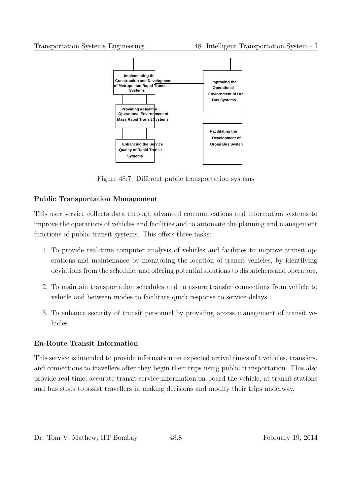

Figure 48:7: Different public transportation systems

#### Public Transportation Management

This user service collects data through advanced communications and information systems to improve the operations of vehicles and facilities and to automate the planning and management functions of public transit systems. This offers three tasks:

- 1. To provide real-time computer analysis of vehicles and facilities to improve transit operations and maintenance by monitoring the location of transit vehicles, by identifying deviations from the schedule, and offering potential solutions to dispatchers and operators.
- 2. To maintain transportation schedules and to assure transfer connections from vehicle to vehicle and between modes to facilitate quick response to service delays .
- 3. To enhance security of transit personnel by providing access management of transit vehicles.

#### En-Route Transit Information

This service is intended to provide information on expected arrival times of t vehicles, transfers, and connections to travellers after they begin their trips using public transportation. This also provide real-time, accurate transit service information on-board the vehicle, at transit stations and bus stops to assist travellers in making decisions and modify their trips underway.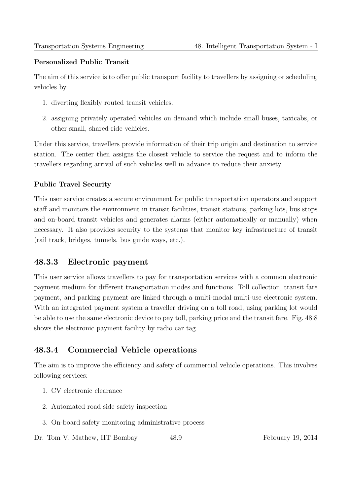#### Personalized Public Transit

The aim of this service is to offer public transport facility to travellers by assigning or scheduling vehicles by

- 1. diverting flexibly routed transit vehicles.
- 2. assigning privately operated vehicles on demand which include small buses, taxicabs, or other small, shared-ride vehicles.

Under this service, travellers provide information of their trip origin and destination to service station. The center then assigns the closest vehicle to service the request and to inform the travellers regarding arrival of such vehicles well in advance to reduce their anxiety.

#### Public Travel Security

This user service creates a secure environment for public transportation operators and support staff and monitors the environment in transit facilities, transit stations, parking lots, bus stops and on-board transit vehicles and generates alarms (either automatically or manually) when necessary. It also provides security to the systems that monitor key infrastructure of transit (rail track, bridges, tunnels, bus guide ways, etc.).

#### 48.3.3 Electronic payment

This user service allows travellers to pay for transportation services with a common electronic payment medium for different transportation modes and functions. Toll collection, transit fare payment, and parking payment are linked through a multi-modal multi-use electronic system. With an integrated payment system a traveller driving on a toll road, using parking lot would be able to use the same electronic device to pay toll, parking price and the transit fare. Fig. 48:8 shows the electronic payment facility by radio car tag.

# 48.3.4 Commercial Vehicle operations

The aim is to improve the efficiency and safety of commercial vehicle operations. This involves following services:

- 1. CV electronic clearance
- 2. Automated road side safety inspection
- 3. On-board safety monitoring administrative process

Dr. Tom V. Mathew, IIT Bombay 48.9 February 19, 2014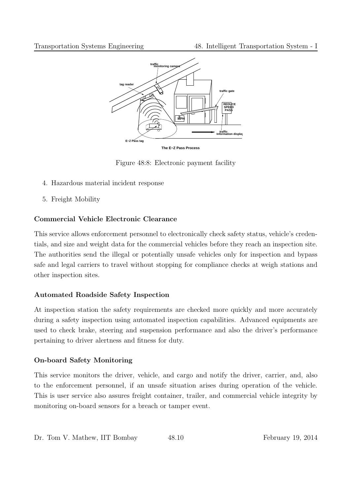

Figure 48:8: Electronic payment facility

- 4. Hazardous material incident response
- 5. Freight Mobility

#### Commercial Vehicle Electronic Clearance

This service allows enforcement personnel to electronically check safety status, vehicle's credentials, and size and weight data for the commercial vehicles before they reach an inspection site. The authorities send the illegal or potentially unsafe vehicles only for inspection and bypass safe and legal carriers to travel without stopping for compliance checks at weigh stations and other inspection sites.

#### Automated Roadside Safety Inspection

At inspection station the safety requirements are checked more quickly and more accurately during a safety inspection using automated inspection capabilities. Advanced equipments are used to check brake, steering and suspension performance and also the driver's performance pertaining to driver alertness and fitness for duty.

#### On-board Safety Monitoring

This service monitors the driver, vehicle, and cargo and notify the driver, carrier, and, also to the enforcement personnel, if an unsafe situation arises during operation of the vehicle. This is user service also assures freight container, trailer, and commercial vehicle integrity by monitoring on-board sensors for a breach or tamper event.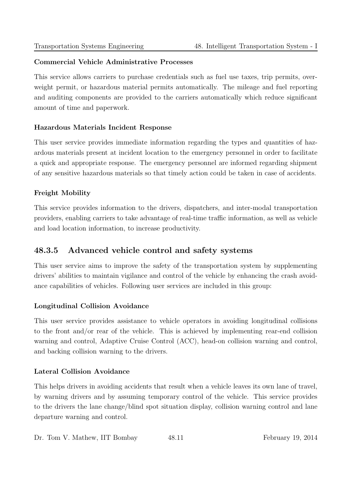#### Commercial Vehicle Administrative Processes

This service allows carriers to purchase credentials such as fuel use taxes, trip permits, overweight permit, or hazardous material permits automatically. The mileage and fuel reporting and auditing components are provided to the carriers automatically which reduce significant amount of time and paperwork.

#### Hazardous Materials Incident Response

This user service provides immediate information regarding the types and quantities of hazardous materials present at incident location to the emergency personnel in order to facilitate a quick and appropriate response. The emergency personnel are informed regarding shipment of any sensitive hazardous materials so that timely action could be taken in case of accidents.

#### Freight Mobility

This service provides information to the drivers, dispatchers, and inter-modal transportation providers, enabling carriers to take advantage of real-time traffic information, as well as vehicle and load location information, to increase productivity.

#### 48.3.5 Advanced vehicle control and safety systems

This user service aims to improve the safety of the transportation system by supplementing drivers' abilities to maintain vigilance and control of the vehicle by enhancing the crash avoidance capabilities of vehicles. Following user services are included in this group:

#### Longitudinal Collision Avoidance

This user service provides assistance to vehicle operators in avoiding longitudinal collisions to the front and/or rear of the vehicle. This is achieved by implementing rear-end collision warning and control, Adaptive Cruise Control (ACC), head-on collision warning and control, and backing collision warning to the drivers.

#### Lateral Collision Avoidance

This helps drivers in avoiding accidents that result when a vehicle leaves its own lane of travel, by warning drivers and by assuming temporary control of the vehicle. This service provides to the drivers the lane change/blind spot situation display, collision warning control and lane departure warning and control.

Dr. Tom V. Mathew, IIT Bombay 48.11 February 19, 2014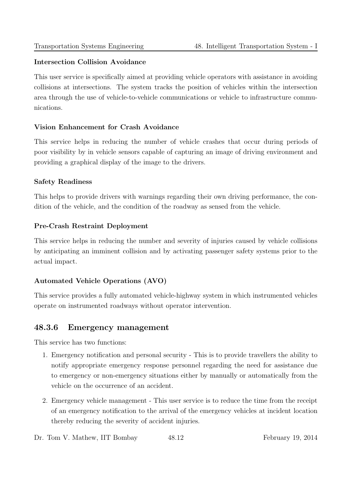#### Intersection Collision Avoidance

This user service is specifically aimed at providing vehicle operators with assistance in avoiding collisions at intersections. The system tracks the position of vehicles within the intersection area through the use of vehicle-to-vehicle communications or vehicle to infrastructure communications.

#### Vision Enhancement for Crash Avoidance

This service helps in reducing the number of vehicle crashes that occur during periods of poor visibility by in vehicle sensors capable of capturing an image of driving environment and providing a graphical display of the image to the drivers.

#### Safety Readiness

This helps to provide drivers with warnings regarding their own driving performance, the condition of the vehicle, and the condition of the roadway as sensed from the vehicle.

#### Pre-Crash Restraint Deployment

This service helps in reducing the number and severity of injuries caused by vehicle collisions by anticipating an imminent collision and by activating passenger safety systems prior to the actual impact.

#### Automated Vehicle Operations (AVO)

This service provides a fully automated vehicle-highway system in which instrumented vehicles operate on instrumented roadways without operator intervention.

#### 48.3.6 Emergency management

This service has two functions:

- 1. Emergency notification and personal security This is to provide travellers the ability to notify appropriate emergency response personnel regarding the need for assistance due to emergency or non-emergency situations either by manually or automatically from the vehicle on the occurrence of an accident.
- 2. Emergency vehicle management This user service is to reduce the time from the receipt of an emergency notification to the arrival of the emergency vehicles at incident location thereby reducing the severity of accident injuries.
- Dr. Tom V. Mathew, IIT Bombay  $48.12$  February 19, 2014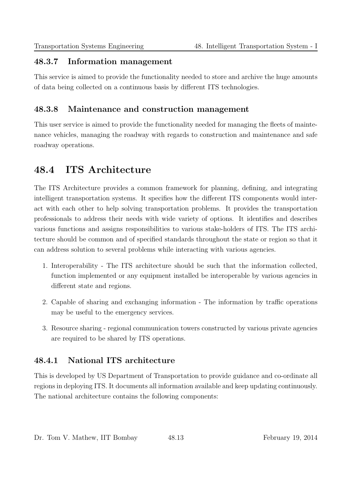#### 48.3.7 Information management

This service is aimed to provide the functionality needed to store and archive the huge amounts of data being collected on a continuous basis by different ITS technologies.

### 48.3.8 Maintenance and construction management

This user service is aimed to provide the functionality needed for managing the fleets of maintenance vehicles, managing the roadway with regards to construction and maintenance and safe roadway operations.

# 48.4 ITS Architecture

The ITS Architecture provides a common framework for planning, defining, and integrating intelligent transportation systems. It specifies how the different ITS components would interact with each other to help solving transportation problems. It provides the transportation professionals to address their needs with wide variety of options. It identifies and describes various functions and assigns responsibilities to various stake-holders of ITS. The ITS architecture should be common and of specified standards throughout the state or region so that it can address solution to several problems while interacting with various agencies.

- 1. Interoperability The ITS architecture should be such that the information collected, function implemented or any equipment installed be interoperable by various agencies in different state and regions.
- 2. Capable of sharing and exchanging information The information by traffic operations may be useful to the emergency services.
- 3. Resource sharing regional communication towers constructed by various private agencies are required to be shared by ITS operations.

# 48.4.1 National ITS architecture

This is developed by US Department of Transportation to provide guidance and co-ordinate all regions in deploying ITS. It documents all information available and keep updating continuously. The national architecture contains the following components: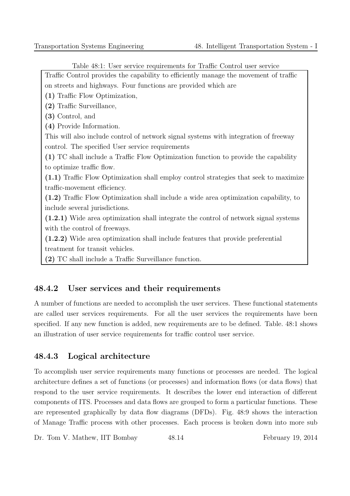Table 48:1: User service requirements for Traffic Control user service

Traffic Control provides the capability to efficiently manage the movement of traffic on streets and highways. Four functions are provided which are

(1) Traffic Flow Optimization,

(2) Traffic Surveillance,

(3) Control, and

(4) Provide Information.

This will also include control of network signal systems with integration of freeway control. The specified User service requirements

(1) TC shall include a Traffic Flow Optimization function to provide the capability to optimize traffic flow.

(1.1) Traffic Flow Optimization shall employ control strategies that seek to maximize traffic-movement efficiency.

(1.2) Traffic Flow Optimization shall include a wide area optimization capability, to include several jurisdictions.

(1.2.1) Wide area optimization shall integrate the control of network signal systems with the control of freeways.

(1.2.2) Wide area optimization shall include features that provide preferential treatment for transit vehicles.

(2) TC shall include a Traffic Surveillance function.

#### 48.4.2 User services and their requirements

A number of functions are needed to accomplish the user services. These functional statements are called user services requirements. For all the user services the requirements have been specified. If any new function is added, new requirements are to be defined. Table. 48:1 shows an illustration of user service requirements for traffic control user service.

#### 48.4.3 Logical architecture

To accomplish user service requirements many functions or processes are needed. The logical architecture defines a set of functions (or processes) and information flows (or data flows) that respond to the user service requirements. It describes the lower end interaction of different components of ITS. Processes and data flows are grouped to form a particular functions. These are represented graphically by data flow diagrams (DFDs). Fig. 48:9 shows the interaction of Manage Traffic process with other processes. Each process is broken down into more sub

Dr. Tom V. Mathew, IIT Bombay 48.14 February 19, 2014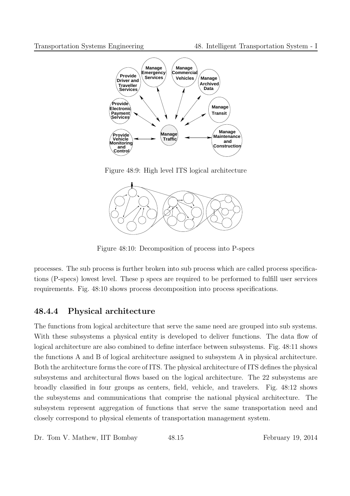

Figure 48:9: High level ITS logical architecture



Figure 48:10: Decomposition of process into P-specs

processes. The sub process is further broken into sub process which are called process specifications (P-specs) lowest level. These p specs are required to be performed to fulfill user services requirements. Fig. 48:10 shows process decomposition into process specifications.

#### 48.4.4 Physical architecture

The functions from logical architecture that serve the same need are grouped into sub systems. With these subsystems a physical entity is developed to deliver functions. The data flow of logical architecture are also combined to define interface between subsystems. Fig. 48:11 shows the functions A and B of logical architecture assigned to subsystem A in physical architecture. Both the architecture forms the core of ITS. The physical architecture of ITS defines the physical subsystems and architectural flows based on the logical architecture. The 22 subsystems are broadly classified in four groups as centers, field, vehicle, and travelers. Fig. 48:12 shows the subsystems and communications that comprise the national physical architecture. The subsystem represent aggregation of functions that serve the same transportation need and closely correspond to physical elements of transportation management system.

Dr. Tom V. Mathew, IIT Bombay 48.15 February 19, 2014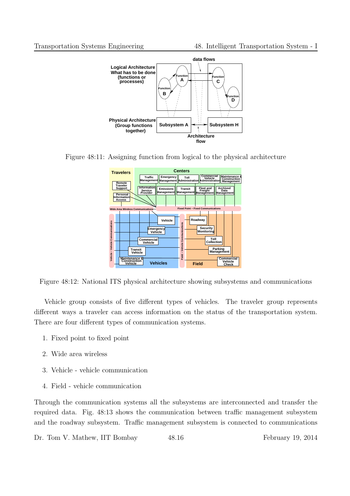

Figure 48:11: Assigning function from logical to the physical architecture



Figure 48:12: National ITS physical architecture showing subsystems and communications

Vehicle group consists of five different types of vehicles. The traveler group represents different ways a traveler can access information on the status of the transportation system. There are four different types of communication systems.

- 1. Fixed point to fixed point
- 2. Wide area wireless
- 3. Vehicle vehicle communication
- 4. Field vehicle communication

Through the communication systems all the subsystems are interconnected and transfer the required data. Fig. 48:13 shows the communication between traffic management subsystem and the roadway subsystem. Traffic management subsystem is connected to communications

Dr. Tom V. Mathew, IIT Bombay 48.16 February 19, 2014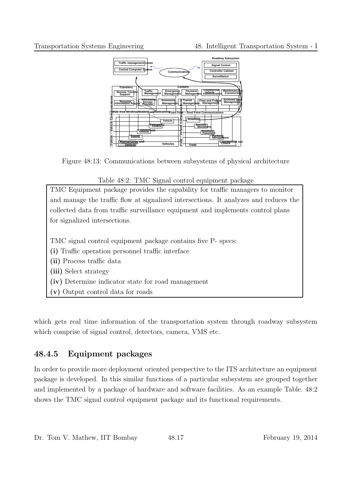

Figure 48:13: Communications between subsystems of physical architecture

Table 48:2: TMC Signal control equipment package TMC Equipment package provides the capability for traffic managers to monitor and manage the traffic flow at signalized intersections. It analyzes and reduces the collected data from traffic surveillance equipment and implements control plans for signalized intersections. TMC signal control equipment package contains five P- specs: (i) Traffic operation personnel traffic interface (ii) Process traffic data (iii) Select strategy (iv) Determine indicator state for road management (v) Output control data for roads

which gets real time information of the transportation system through roadway subsystem which comprise of signal control, detectors, camera, VMS etc.

# 48.4.5 Equipment packages

In order to provide more deployment oriented perspective to the ITS architecture an equipment package is developed. In this similar functions of a particular subsystem are grouped together and implemented by a package of hardware and software facilities. As an example Table. 48:2 shows the TMC signal control equipment package and its functional requirements.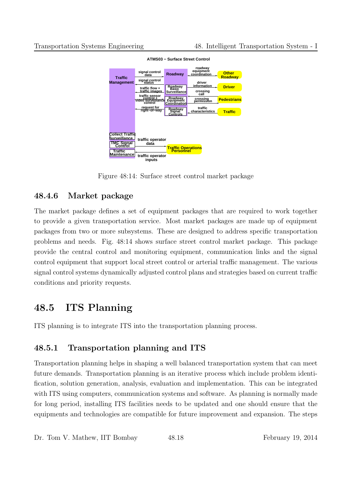

**ATMS03 − Surface Street Control**

Figure 48:14: Surface street control market package

### 48.4.6 Market package

The market package defines a set of equipment packages that are required to work together to provide a given transportation service. Most market packages are made up of equipment packages from two or more subsystems. These are designed to address specific transportation problems and needs. Fig. 48:14 shows surface street control market package. This package provide the central control and monitoring equipment, communication links and the signal control equipment that support local street control or arterial traffic management. The various signal control systems dynamically adjusted control plans and strategies based on current traffic conditions and priority requests.

# 48.5 ITS Planning

ITS planning is to integrate ITS into the transportation planning process.

# 48.5.1 Transportation planning and ITS

Transportation planning helps in shaping a well balanced transportation system that can meet future demands. Transportation planning is an iterative process which include problem identification, solution generation, analysis, evaluation and implementation. This can be integrated with ITS using computers, communication systems and software. As planning is normally made for long period, installing ITS facilities needs to be updated and one should ensure that the equipments and technologies are compatible for future improvement and expansion. The steps

Dr. Tom V. Mathew, IIT Bombay 48.18 February 19, 2014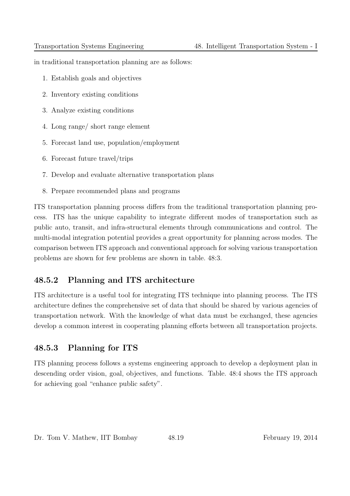in traditional transportation planning are as follows:

- 1. Establish goals and objectives
- 2. Inventory existing conditions
- 3. Analyze existing conditions
- 4. Long range/ short range element
- 5. Forecast land use, population/employment
- 6. Forecast future travel/trips
- 7. Develop and evaluate alternative transportation plans
- 8. Prepare recommended plans and programs

ITS transportation planning process differs from the traditional transportation planning process. ITS has the unique capability to integrate different modes of transportation such as public auto, transit, and infra-structural elements through communications and control. The multi-modal integration potential provides a great opportunity for planning across modes. The comparison between ITS approach and conventional approach for solving various transportation problems are shown for few problems are shown in table. 48:3.

#### 48.5.2 Planning and ITS architecture

ITS architecture is a useful tool for integrating ITS technique into planning process. The ITS architecture defines the comprehensive set of data that should be shared by various agencies of transportation network. With the knowledge of what data must be exchanged, these agencies develop a common interest in cooperating planning efforts between all transportation projects.

#### 48.5.3 Planning for ITS

ITS planning process follows a systems engineering approach to develop a deployment plan in descending order vision, goal, objectives, and functions. Table. 48:4 shows the ITS approach for achieving goal "enhance public safety".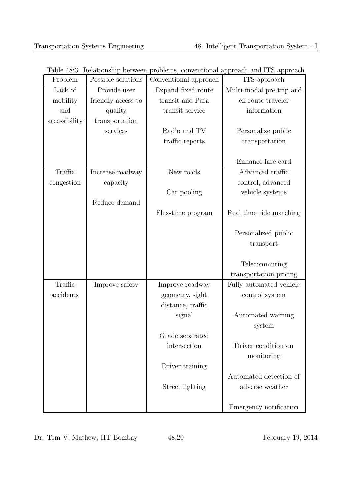| Problem       | Possible solutions | Conventional approach | ITS approach             |
|---------------|--------------------|-----------------------|--------------------------|
| Lack of       | Provide user       | Expand fixed route    | Multi-modal pre trip and |
| mobility      | friendly access to | transit and Para      | en-route traveler        |
| and           | quality            | transit service       | information              |
| accessibility | transportation     |                       |                          |
|               | services           | Radio and TV          | Personalize public       |
|               |                    | traffic reports       | transportation           |
|               |                    |                       |                          |
|               |                    |                       | Enhance fare card        |
| Traffic       | Increase roadway   | New roads             | Advanced traffic         |
| congestion    | capacity           |                       | control, advanced        |
|               |                    | Car pooling           | vehicle systems          |
|               | Reduce demand      |                       |                          |
|               |                    | Flex-time program     | Real time ride matching  |
|               |                    |                       |                          |
|               |                    |                       | Personalized public      |
|               |                    |                       | transport                |
|               |                    |                       |                          |
|               |                    |                       | Telecommuting            |
|               |                    |                       | transportation pricing   |
| Traffic       | Improve safety     | Improve roadway       | Fully automated vehicle  |
| accidents     |                    | geometry, sight       | control system           |
|               |                    | distance, traffic     |                          |
|               |                    | signal                | Automated warning        |
|               |                    |                       | system                   |
|               |                    | Grade separated       |                          |
|               |                    | intersection          | Driver condition on      |
|               |                    |                       | monitoring               |
|               |                    | Driver training       |                          |
|               |                    |                       | Automated detection of   |
|               |                    | Street lighting       | adverse weather          |
|               |                    |                       | Emergency notification   |

Dr. Tom V. Mathew, IIT Bombay  $48.20$  February 19, 2014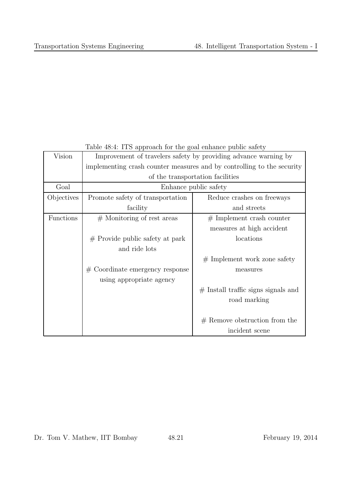| Table 48.4: ITS approach for the goal enhance public safety |                                                                        |                                       |  |  |  |
|-------------------------------------------------------------|------------------------------------------------------------------------|---------------------------------------|--|--|--|
| Vision                                                      | Improvement of travelers safety by providing advance warning by        |                                       |  |  |  |
|                                                             | implementing crash counter measures and by controlling to the security |                                       |  |  |  |
|                                                             | of the transportation facilities                                       |                                       |  |  |  |
| Goal                                                        | Enhance public safety                                                  |                                       |  |  |  |
| Objectives                                                  | Promote safety of transportation                                       | Reduce crashes on freeways            |  |  |  |
|                                                             | facility                                                               | and streets                           |  |  |  |
| Functions                                                   | $#$ Monitoring of rest areas                                           | $#$ Implement crash counter           |  |  |  |
|                                                             |                                                                        | measures at high accident             |  |  |  |
|                                                             | $#$ Provide public safety at park                                      | locations                             |  |  |  |
|                                                             | and ride lots                                                          |                                       |  |  |  |
|                                                             |                                                                        | $#$ Implement work zone safety        |  |  |  |
|                                                             | $#$ Coordinate emergency response                                      | measures                              |  |  |  |
|                                                             | using appropriate agency                                               |                                       |  |  |  |
|                                                             |                                                                        | $#$ Install traffic signs signals and |  |  |  |
|                                                             |                                                                        | road marking                          |  |  |  |
|                                                             |                                                                        |                                       |  |  |  |
|                                                             |                                                                        | $#$ Remove obstruction from the       |  |  |  |
|                                                             |                                                                        | incident scene                        |  |  |  |

Table  $48.4$ : ITS approach for the goal enhance public safety